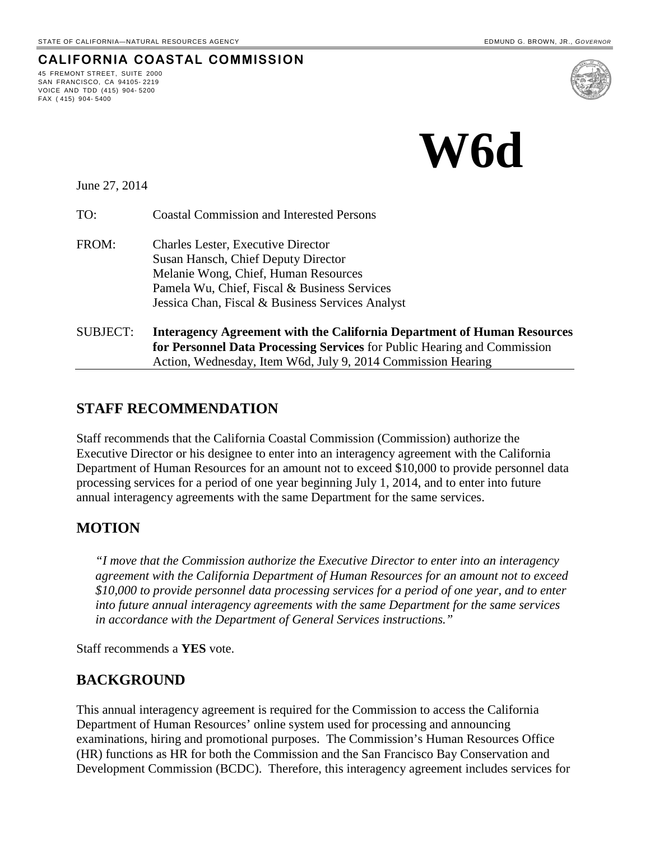**CALIFORNIA COASTAL COMMISSION**



June 27, 2014

45 FREMONT STREET, SUITE 2000 SAN FRANCISCO, CA 94105- 2219 VOICE AND TDD (415) 904- 5200

FAX ( 415) 904- 5400

TO: Coastal Commission and Interested Persons

- FROM: Charles Lester, Executive Director Susan Hansch, Chief Deputy Director Melanie Wong, Chief, Human Resources Pamela Wu, Chief, Fiscal & Business Services Jessica Chan, Fiscal & Business Services Analyst
- SUBJECT: **Interagency Agreement with the California Department of Human Resources for Personnel Data Processing Services** for Public Hearing and Commission Action, Wednesday, Item W6d, July 9, 2014 Commission Hearing

### **STAFF RECOMMENDATION**

Staff recommends that the California Coastal Commission (Commission) authorize the Executive Director or his designee to enter into an interagency agreement with the California Department of Human Resources for an amount not to exceed \$10,000 to provide personnel data processing services for a period of one year beginning July 1, 2014, and to enter into future annual interagency agreements with the same Department for the same services.

### **MOTION**

*"I move that the Commission authorize the Executive Director to enter into an interagency agreement with the California Department of Human Resources for an amount not to exceed \$10,000 to provide personnel data processing services for a period of one year, and to enter into future annual interagency agreements with the same Department for the same services in accordance with the Department of General Services instructions."* 

Staff recommends a **YES** vote.

### **BACKGROUND**

This annual interagency agreement is required for the Commission to access the California Department of Human Resources' online system used for processing and announcing examinations, hiring and promotional purposes. The Commission's Human Resources Office (HR) functions as HR for both the Commission and the San Francisco Bay Conservation and Development Commission (BCDC). Therefore, this interagency agreement includes services for